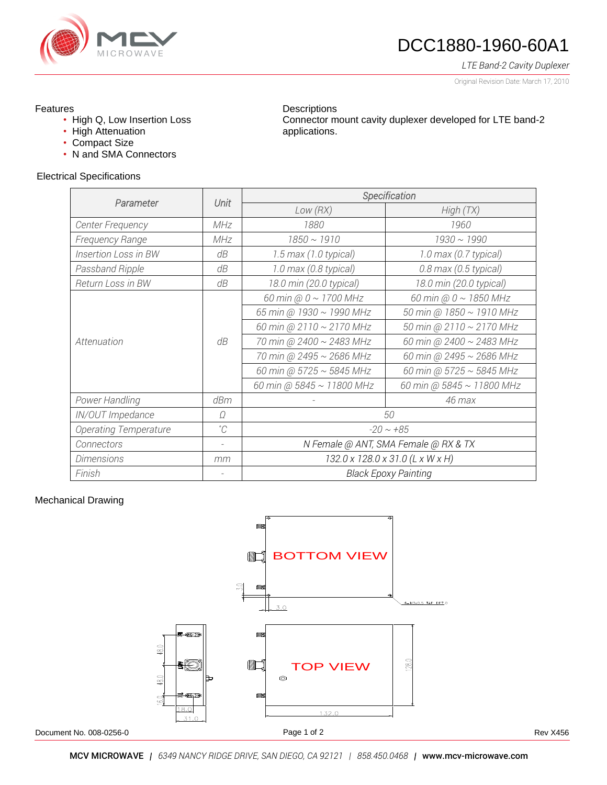

# DCC1880-1960-60A1

*LTE Band-2 Cavity Duplexer*

Original Revision Date: March 17, 2010

### Features

- High Q, Low Insertion Loss
- High Attenuation
- Compact Size
- N and SMA Connectors

#### **Descriptions** Connector mount cavity duplexer developed for LTE band-2 applications.

#### Electrical Specifications

|                             | Unit                     | Specification                                      |                               |  |  |  |
|-----------------------------|--------------------------|----------------------------------------------------|-------------------------------|--|--|--|
| Parameter                   |                          | Low(RX)                                            | High(TX)                      |  |  |  |
| Center Frequency            | MHz                      | 1880                                               | 1960                          |  |  |  |
| Frequency Range             | MHz                      | $1850 \sim 1910$                                   | $1930 \sim 1990$              |  |  |  |
| <b>Insertion Loss in BW</b> | dB                       | 1.5 max (1.0 typical)                              | 1.0 max (0.7 typical)         |  |  |  |
| Passband Ripple             | dB                       | 1.0 max (0.8 typical)<br>$0.8$ max (0.5 typical)   |                               |  |  |  |
| Return Loss in BW           | dB                       | 18.0 min (20.0 typical)<br>18.0 min (20.0 typical) |                               |  |  |  |
| Attenuation                 | dB                       | 60 min @ $0 \sim 1700$ MHz                         | 60 min @ $0 \sim 1850$ MHz    |  |  |  |
|                             |                          | 65 min @ 1930 ~ 1990 MHz                           | 50 min @ 1850 ~ 1910 MHz      |  |  |  |
|                             |                          | 60 min @ 2110 ~ 2170 MHz                           | 50 min @ 2110 ~ 2170 MHz      |  |  |  |
|                             |                          | 70 min @ 2400 ~ 2483 MHz                           | 60 min @ 2400 ~ 2483 MHz      |  |  |  |
|                             |                          | 70 min @ 2495 ~ 2686 MHz                           | 60 min @ 2495 ~ 2686 MHz      |  |  |  |
|                             |                          | 60 min @ 5725 $\sim$ 5845 MHz                      | 60 min @ 5725 $\sim$ 5845 MHz |  |  |  |
|                             |                          | 60 min @ 5845 ~ 11800 MHz                          | 60 min @ 5845 ~ 11800 MHz     |  |  |  |
| Power Handling              | dBm                      |                                                    | 46 max                        |  |  |  |
| IN/OUT Impedance            | Ω                        | 50                                                 |                               |  |  |  |
| Operating Temperature       | $^{\circ}C$              | $-20 \sim +85$                                     |                               |  |  |  |
| Connectors                  | $\overline{\phantom{a}}$ | N Female @ ANT, SMA Female @ RX & TX               |                               |  |  |  |
| <b>Dimensions</b>           | mm                       | 132.0 x 128.0 x 31.0 (L x W x H)                   |                               |  |  |  |
| Finish                      |                          | <b>Black Epoxy Painting</b>                        |                               |  |  |  |

### Mechanical Drawing